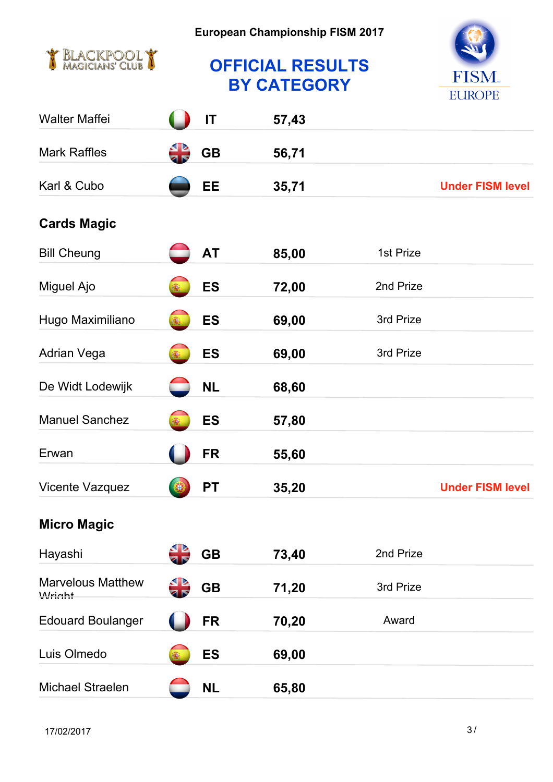

## **OFFICIAL RESULTS BY CATEGORY**



| <b>Walter Maffei</b>               | IT        | 57,43 |                                   |  |
|------------------------------------|-----------|-------|-----------------------------------|--|
| <b>Mark Raffles</b>                | <b>GB</b> | 56,71 |                                   |  |
| Karl & Cubo                        | EE        | 35,71 | <b>Under FISM level</b>           |  |
| <b>Cards Magic</b>                 |           |       |                                   |  |
| <b>Bill Cheung</b>                 | <b>AT</b> | 85,00 | 1st Prize and Grand Prix Close- p |  |
| Miguel Ajo                         | <b>ES</b> | 72,00 | 2nd Prize                         |  |
| Hugo Maximiliano                   | <b>ES</b> | 69,00 | 3rd Prize                         |  |
| Adrian Vega                        | <b>ES</b> | 69,00 | 3rd Prize                         |  |
| De Widt Lodewijk                   | <b>NL</b> | 68,60 |                                   |  |
| <b>Manuel Sanchez</b>              | <b>ES</b> | 57,80 |                                   |  |
| Erwan                              | <b>FR</b> | 55,60 |                                   |  |
| Vicente Vazquez                    | <b>PT</b> | 35,20 | <b>Under FISM level</b>           |  |
| <b>Micro Magic</b>                 |           |       |                                   |  |
| Hayashi                            | <b>GB</b> | 73,40 | 2nd Prize                         |  |
| <b>Marvelous Matthew</b><br>Wright | <b>GB</b> | 71,20 | 3rd Prize                         |  |
| <b>Edouard Boulanger</b>           | <b>FR</b> | 70,20 | Award                             |  |
| Luis Olmedo                        | <b>ES</b> | 69,00 |                                   |  |
| Michael Straelen                   | <b>NL</b> | 65,80 |                                   |  |